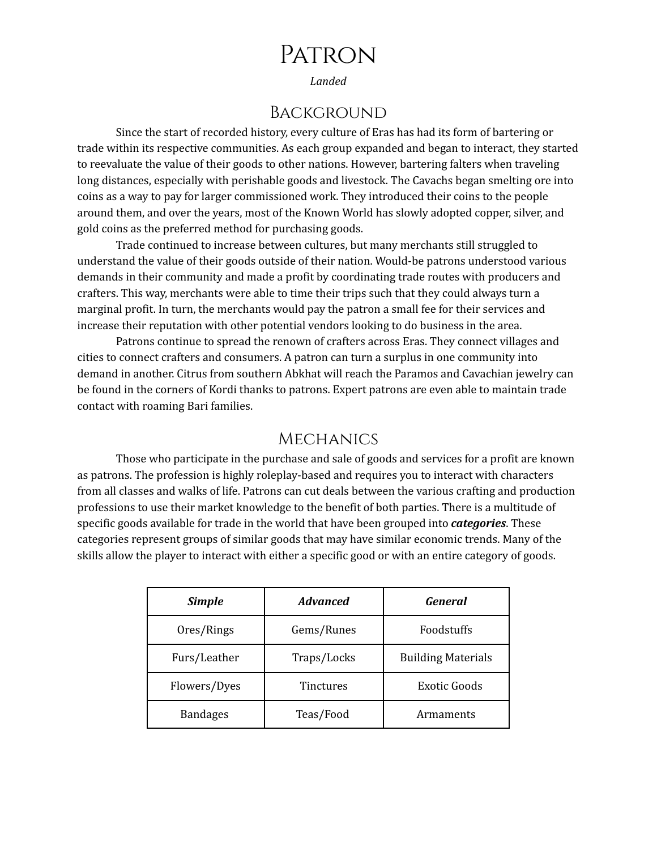# **PATRON**

*Landed*

#### Background

Since the start of recorded history, every culture of Eras has had its form of bartering or trade within its respective communities. As each group expanded and began to interact, they started to reevaluate the value of their goods to other nations. However, bartering falters when traveling long distances, especially with perishable goods and livestock. The Cavachs began smelting ore into coins as a way to pay for larger commissioned work. They introduced their coins to the people around them, and over the years, most of the Known World has slowly adopted copper, silver, and gold coins as the preferred method for purchasing goods.

Trade continued to increase between cultures, but many merchants still struggled to understand the value of their goods outside of their nation. Would-be patrons understood various demands in their community and made a profit by coordinating trade routes with producers and crafters. This way, merchants were able to time their trips such that they could always turn a marginal profit. In turn, the merchants would pay the patron a small fee for their services and increase their reputation with other potential vendors looking to do business in the area.

Patrons continue to spread the renown of crafters across Eras. They connect villages and cities to connect crafters and consumers. A patron can turn a surplus in one community into demand in another. Citrus from southern Abkhat will reach the Paramos and Cavachian jewelry can be found in the corners of Kordi thanks to patrons. Expert patrons are even able to maintain trade contact with roaming Bari families.

### **MECHANICS**

Those who participate in the purchase and sale of goods and services for a profit are known as patrons. The profession is highly roleplay-based and requires you to interact with characters from all classes and walks of life. Patrons can cut deals between the various crafting and production professions to use their market knowledge to the benefit of both parties. There is a multitude of specific goods available for trade in the world that have been grouped into *categories*. These categories represent groups of similar goods that may have similar economic trends. Many of the skills allow the player to interact with either a specific good or with an entire category of goods.

| <b>Simple</b>   | <b>Advanced</b>  | General                   |  |
|-----------------|------------------|---------------------------|--|
| Ores/Rings      | Gems/Runes       | Foodstuffs                |  |
| Furs/Leather    | Traps/Locks      | <b>Building Materials</b> |  |
| Flowers/Dyes    | <b>Tinctures</b> | Exotic Goods              |  |
| <b>Bandages</b> | Teas/Food        | Armaments                 |  |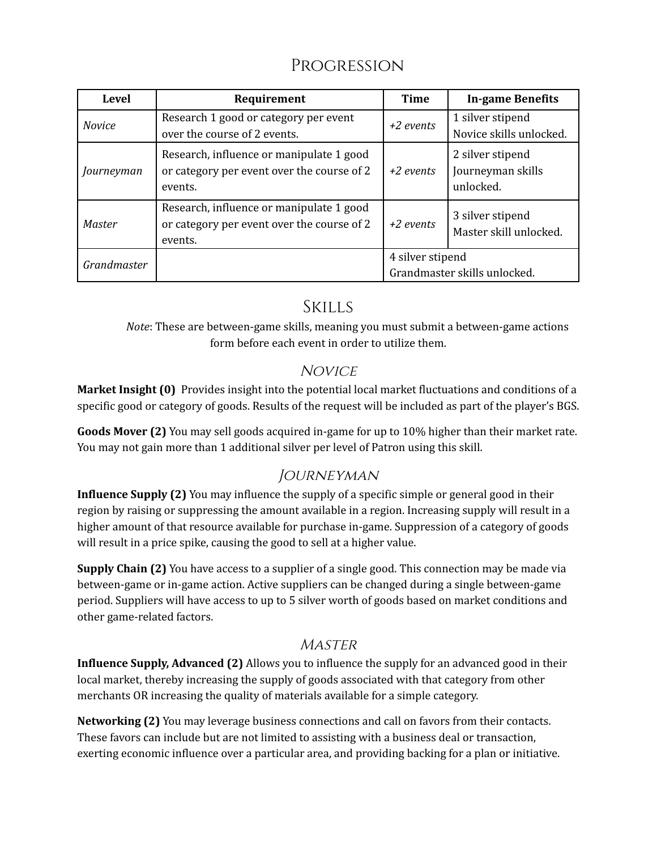## **PROGRESSION**

| <b>Level</b>  | Requirement                                                                                       | <b>Time</b>                                      | <b>In-game Benefits</b>                            |
|---------------|---------------------------------------------------------------------------------------------------|--------------------------------------------------|----------------------------------------------------|
| <b>Novice</b> | Research 1 good or category per event<br>over the course of 2 events.                             | $+2$ events                                      | 1 silver stipend<br>Novice skills unlocked.        |
| Journeyman    | Research, influence or manipulate 1 good<br>or category per event over the course of 2<br>events. | +2 events                                        | 2 silver stipend<br>Journeyman skills<br>unlocked. |
| Master        | Research, influence or manipulate 1 good<br>or category per event over the course of 2<br>events. | $+2$ events                                      | 3 silver stipend<br>Master skill unlocked.         |
| Grandmaster   |                                                                                                   | 4 silver stipend<br>Grandmaster skills unlocked. |                                                    |

## **SKILLS**

*Note*: These are between-game skills, meaning you must submit a between-game actions form before each event in order to utilize them.

## **NOVICE**

**Market Insight (0)** Provides insight into the potential local market fluctuations and conditions of a specific good or category of goods. Results of the request will be included as part of the player's BGS.

**Goods Mover (2)** You may sell goods acquired in-game for up to 10% higher than their market rate. You may not gain more than 1 additional silver per level of Patron using this skill.

### **JOURNEYMAN**

**Influence Supply (2)** You may influence the supply of a specific simple or general good in their region by raising or suppressing the amount available in a region. Increasing supply will result in a higher amount of that resource available for purchase in-game. Suppression of a category of goods will result in a price spike, causing the good to sell at a higher value.

**Supply Chain (2)** You have access to a supplier of a single good. This connection may be made via between-game or in-game action. Active suppliers can be changed during a single between-game period. Suppliers will have access to up to 5 silver worth of goods based on market conditions and other game-related factors.

#### **MASTER**

**Influence Supply, Advanced (2)** Allows you to influence the supply for an advanced good in their local market, thereby increasing the supply of goods associated with that category from other merchants OR increasing the quality of materials available for a simple category.

**Networking (2)** You may leverage business connections and call on favors from their contacts. These favors can include but are not limited to assisting with a business deal or transaction, exerting economic influence over a particular area, and providing backing for a plan or initiative.